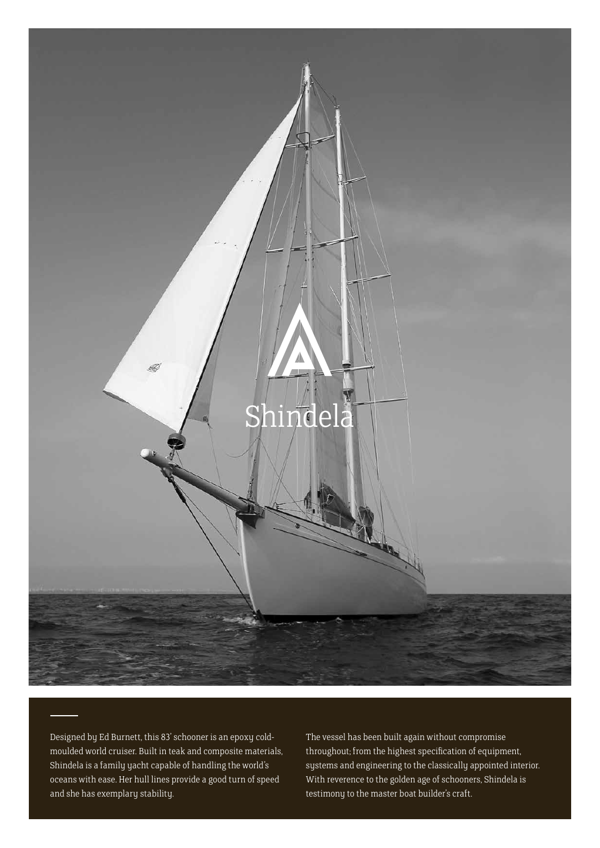

Designed by Ed Burnett, this 83' schooner is an epoxy coldmoulded world cruiser. Built in teak and composite materials, Shindela is a family yacht capable of handling the world's oceans with ease. Her hull lines provide a good turn of speed and she has exemplary stability.

The vessel has been built again without compromise throughout; from the highest specification of equipment, systems and engineering to the classically appointed interior. With reverence to the golden age of schooners, Shindela is testimony to the master boat builder's craft.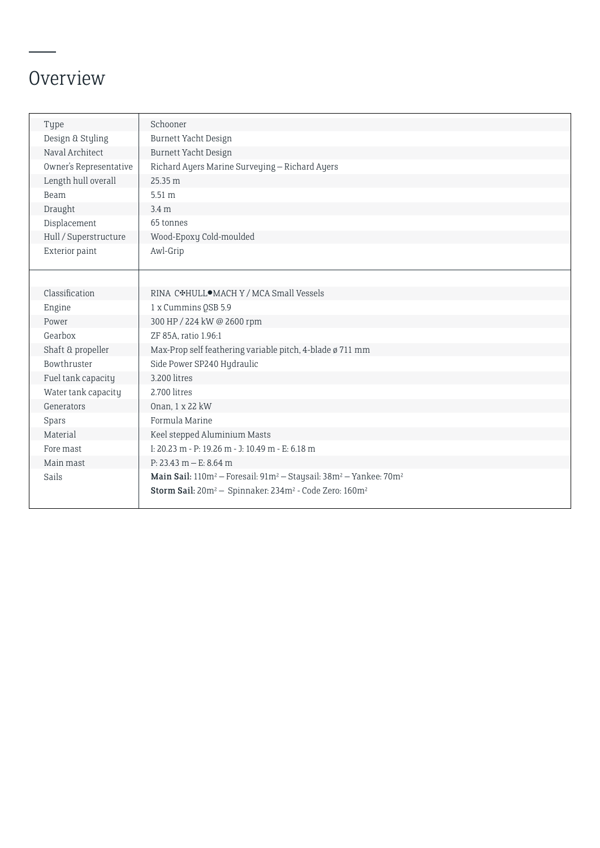## Overview

| Type                   | Schooner                                                                                                          |
|------------------------|-------------------------------------------------------------------------------------------------------------------|
| Design & Styling       | Burnett Yacht Design                                                                                              |
| Naval Architect        | Burnett Yacht Design                                                                                              |
| Owner's Representative | Richard Ayers Marine Surveying - Richard Ayers                                                                    |
| Length hull overall    | 25.35 m                                                                                                           |
| Beam                   | 5.51 m                                                                                                            |
| Draught                | 3.4 <sub>m</sub>                                                                                                  |
| Displacement           | 65 tonnes                                                                                                         |
| Hull / Superstructure  | Wood-Epoxy Cold-moulded                                                                                           |
| Exterior paint         | Awl-Grip                                                                                                          |
|                        |                                                                                                                   |
|                        |                                                                                                                   |
| Classification         | RINA C*HULL <sup>O</sup> MACH Y / MCA Small Vessels                                                               |
| Engine                 | 1 x Cummins QSB 5.9                                                                                               |
| Power                  | 300 HP / 224 kW @ 2600 rpm                                                                                        |
| Gearbox                | ZF 85A, ratio 1.96:1                                                                                              |
| Shaft & propeller      | Max-Prop self feathering variable pitch, 4-blade ø 711 mm                                                         |
| Bowthruster            | Side Power SP240 Hydraulic                                                                                        |
| Fuel tank capacity     | 3.200 litres                                                                                                      |
| Water tank capacity    | 2.700 litres                                                                                                      |
| Generators             | Onan, 1 x 22 kW                                                                                                   |
| Spars                  | Formula Marine                                                                                                    |
| Material               | Keel stepped Aluminium Masts                                                                                      |
| Fore mast              | I: 20.23 m - P: 19.26 m - J: 10.49 m - E: 6.18 m                                                                  |
| Main mast              | $P: 23.43 m - E: 8.64 m$                                                                                          |
| Sails                  | Main Sail: 110m <sup>2</sup> - Foresail: 91m <sup>2</sup> - Staysail: 38m <sup>2</sup> - Yankee: 70m <sup>2</sup> |
|                        | Storm Sail: 20m <sup>2</sup> - Spinnaker: 234m <sup>2</sup> - Code Zero: 160m <sup>2</sup>                        |
|                        |                                                                                                                   |